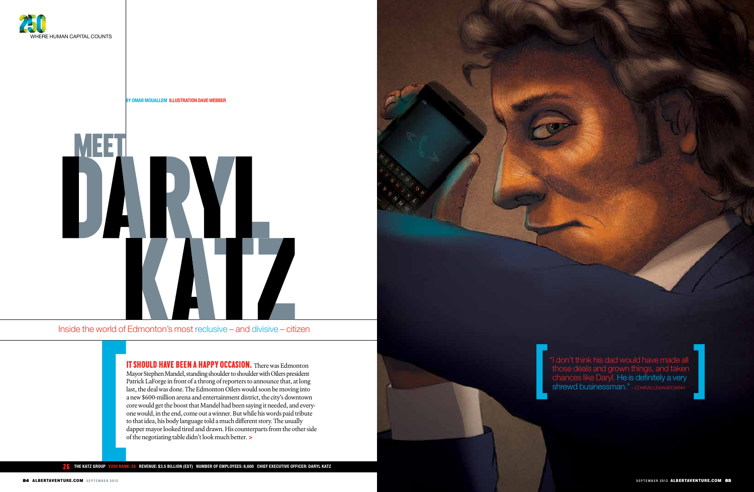Inside the world of Edmonton's most reclusive – and divisive – citizen

 **THE KATZ GROUP V250 Rank: 26 | Revenue: \$3.5 Billion (est) | Number of Employees: 8,600 | Chief Executive Officer: DARYL KATZ** 26

|<br>|<br>|

**By OMAR MOUALLEM Illustration Dave Webber**





IT SHOULD HAVE BEEN A HAPPY OCCASION. There was Edmonton Mayor Stephen Mandel, standing shoulder to shoulder with Oilers president Patrick LaForge in front of a throng of reporters to announce that, at long last, the deal was done. The Edmonton Oilers would soon be moving into a new \$600-million arena and entertainment district, the city's downtown core would get the boost that Mandel had been saying it needed, and everyone would, in the end, come out a winner. But while his words paid tribute to that idea, his body language told a much different story. The usually dapper mayor looked tired and drawn. His counterparts from the other side of the negotiating table didn't look much better. **>**

"I don't think his dad would have made all those deals and grown things, and taken **chances like Daryl. He is definitely a very shrewd businessman."** - CONRAD LEWANDOWSKI

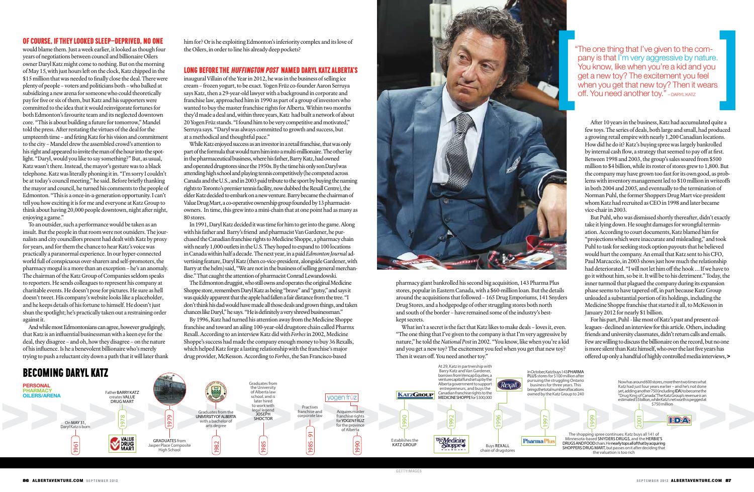## OF COURSE, IF THEY LOOKED SLEEP-DEPRIVED, NO ONE

would blame them. Just a week earlier, it looked as though four years of negotiations between council and billionaire Oilers owner Daryl Katz might come to nothing. But on the morning of May 15, with just hours left on the clock, Katz chipped in the \$15 million that was needed to finally close the deal. There were plenty of people – voters and politicians both – who balked at subsidizing a new arena for someone who could theoretically pay for five or six of them, but Katz and his supporters were committed to the idea that it would reinvigorate fortunes for both Edmonton's favourite team and its neglected downtown core. "This is about building a future for tomorrow," Mandel told the press. After restating the virtues of the deal for the umpteenth time – and feting Katz for his vision and commitment to the city – Mandel drew the assembled crowd's attention to his right and appeared to invite the man of the hour into the spotlight. "Daryl, would you like to say something?" But, as usual, Katz wasn't there. Instead, the mayor's gesture was to a black telephone. Katz was literally phoning it in. "I'm sorry I couldn't be at today's council meeting," he said. Before briefly thanking the mayor and council, he turned his comments to the people of Edmonton. "This is a once-in-a-generation opportunity. I can't tell you how exciting it is for me and everyone at Katz Group to think about having 20,000 people downtown, night after night, enjoying a game."

To an outsider, such a performance would be taken as an insult. But the people in that room were not outsiders. The journalists and city councillors present had dealt with Katz by proxy for years, and for them the chance to hear Katz's voice was practically a paranormal experience. In our hyper-connected world full of conspicuous over-sharers and self-promoters, the pharmacy mogul is a more than an exception – he's an anomaly. The chairman of the Katz Group of Companies seldom speaks to reporters. He sends colleagues to represent his company at charitable events. He doesn't pose for pictures. He sure as hell doesn't tweet. His company's website looks like a placeholder, and he keeps details of his fortune to himself. He doesn't just shun the spotlight; he's practically taken out a restraining order against it.

And while most Edmontonians can agree, however grudgingly, that Katz is an influential businessman with a keen eye for the deal, they disagree – and oh, how they disagree – on the nature of his influence. Is he a benevolent billionaire who's merely trying to push a reluctant city down a path that it will later thank him for? Or is he exploiting Edmonton's inferiority complex and its love of the Oilers, in order to line his already deep pockets?

#### LONG BEFORE THE HUFFINGTON POST NAMED DARYL KATZ ALBERTA'S

inaugural Villain of the Year in 2012, he was in the business of selling ice cream – frozen yogurt, to be exact. Yogen Früz co-founder Aaron Serruya says Katz, then a 29-year-old lawyer with a background in corporate and franchise law, approached him in 1990 as part of a group of investors who wanted to buy the master franchise rights for Alberta. Within two months they'd made a deal and, within three years, Katz had built a network of about 20 Yogen Früz stands. "I found him to be very competitive and motivated," Serruya says. "Daryl was always committed to growth and success, but at a methodical and thoughtful pace."

While Katz enjoyed success as an investor in a retail franchise, that was only part of the formula that would turn him into a multi-millionaire. The other lay in the pharmaceutical business, where his father, Barry Katz, had owned and operated drugstores since the 1950s. By the time his only son Daryl was attending high school and playing tennis competitively (he competed across Canada and the U.S., and in 2003 paid tribute to the sport by buying the naming rights to Toronto's premier tennis facility, now dubbed the Rexall Centre), the elder Katz decided to embark on a new venture. Barry became the chairman of Value Drug Mart, a co-operative ownership group founded by 13 pharmacistowners. In time, this grew into a mini-chain that at one point had as many as 80 stores.

"The one thing that I've given to the company is that I'm very aggressive by nature. You know, like when you're a kid and you get a new toy? The excitement you feel<br>when you get that new toy? Then it wears "The one thing that I've given to the company is that I'm very aggressive by nature.<br>You know, like when you're a kid and you get a new toy? The excitement you feel when you get that new toy? Then it wears off. You need an

In 1991, Daryl Katz decided it was time for him to get into the game. Along with his father and Barry's friend and pharmacist Van Gardener, he purchased the Canadian franchise rights to Medicine Shoppe, a pharmacy chain with nearly 1,000 outlets in the U.S. They hoped to expand to 100 locations in Canada within half a decade. The next year, in a paid *Edmonton Journal* advertising feature, Daryl Katz (then co-vice-president, alongside Gardener, with Barry at the helm) said, "We are not in the business of selling general merchandise." That caught the attention of pharmacist Conrad Lewandowski.

The Edmonton druggist, who still owns and operates the original Medicine Shoppe store, remembers Daryl Katz as being "brave" and "gutsy," and says it was quickly apparent that the apple had fallen a fair distance from the tree. "I don't think his dad would have made all those deals and grown things, and taken chances like Daryl," he says. "He is definitely a very shrewd businessman."

By 1996, Katz had turned his attention away from the Medicine Shoppe franchise and toward an ailing 100-year-old drugstore chain called Pharmx Rexall. According to an interview Katz did with *Forbes* in 2002, Medicine Shoppe's success had made the company enough money to buy 36 Rexalls, which helped Katz forge a lasting relationship with the franchise's major drug provider, McKesson. According to *Forbes*, the San Francisco-based



pharmacy giant bankrolled his second big acquisition, 143 Pharma Plus stores, popular in Eastern Canada, with a \$60-million loan. But the details around the acquisitions that followed – 165 Drug Emporiums, 141 Snyders Drug Stores, and a hodgepodge of other struggling stores both north and south of the border – have remained some of the industry's bestkept secrets.

What isn't a secret is the fact that Katz likes to make deals – loves it, even. "The one thing that I've given to the company is that I'm very aggressive by nature," he told the *National Post* in 2002. "You know, like when you're a kid and you get a new toy? The excitement you feel when you get that new toy? Then it wears off. You need another toy."

After 10 years in the business, Katz had accumulated quite a few toys. The series of deals, both large and small, had produced a growing retail empire with nearly 1,200 Canadian locations. How did he do it? Katz's buying spree was largely bankrolled by internal cash flow, a strategy that seemed to pay off at first. Between 1998 and 2003, the group's sales soared from \$500 million to \$4 billion, while its roster of stores grew to 1,800. But the company may have grown too fast for its own good, as problems with inventory management led to \$10 million in writeoffs in both 2004 and 2005, and eventually to the termination of Norman Puhl, the former Shoppers Drug Mart vice-president whom Katz had recruited as CEO in 1998 and later became vice-chair in 2003.

But Puhl, who was dismissed shortly thereafter, didn't exactly take it lying down. He sought damages for wrongful termination. According to court documents, Katz blamed him for "projections which were inaccurate and misleading," and took Puhl to task for seeking stock option payouts that he believed would hurt the company. An email that Katz sent to his CFO, Paul Marcaccio, in 2003 shows just how much the relationship had deteriorated. "I will not let him off the hook … If we have to go it without him, so be it. It will be to his detriment." Today, the inner turmoil that plagued the company during its expansion phase seems to have tapered off, in part because Katz Group unloaded a substantial portion of its holdings, including the Medicine Shoppe franchise that started it all, to McKesson in January 2012 for nearly \$1 billion.

For his part, Puhl - like most of Katz's past and present colleagues - declined an interview for this article. Others, including friends and university classmates, didn't return calls and emails. Few are willing to discuss the billionaire on the record, but no one is more silent than Katz himself, who over the last five years has offered up only a handful of highly controlled media interviews, **>**